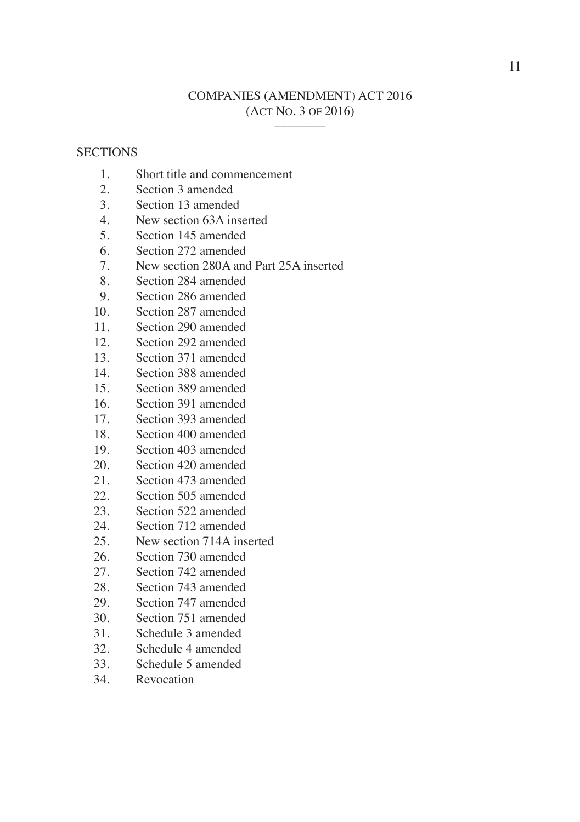# COMPANIES (AMENDMENT) ACT 2016 (ACT NO. 3 OF 2016) \_\_\_\_\_\_\_\_

## **SECTIONS**

- 1. Short title and commencement
- 2. Section 3 amended
- 3. Section 13 amended
- 4. New section 63A inserted
- 5. Section 145 amended
- 6. Section 272 amended
- 7. New section 280A and Part 25A inserted
- 8. Section 284 amended
- 9. Section 286 amended
- 10. Section 287 amended
- 11. Section 290 amended
- 12. Section 292 amended
- 13. Section 371 amended
- 14. Section 388 amended
- 15. Section 389 amended
- 16. Section 391 amended
- 17. Section 393 amended
- 18. Section 400 amended
- 19. Section 403 amended
- 20. Section 420 amended
- 21. Section 473 amended
- 22. Section 505 amended
- 23. Section 522 amended
- 24. Section 712 amended
- 25. New section 714A inserted
- 26. Section 730 amended
- 27. Section 742 amended
- 28. Section 743 amended
- 29. Section 747 amended
- 30. Section 751 amended
- 31. Schedule 3 amended
- 32. Schedule 4 amended
- 33. Schedule 5 amended
- 34. Revocation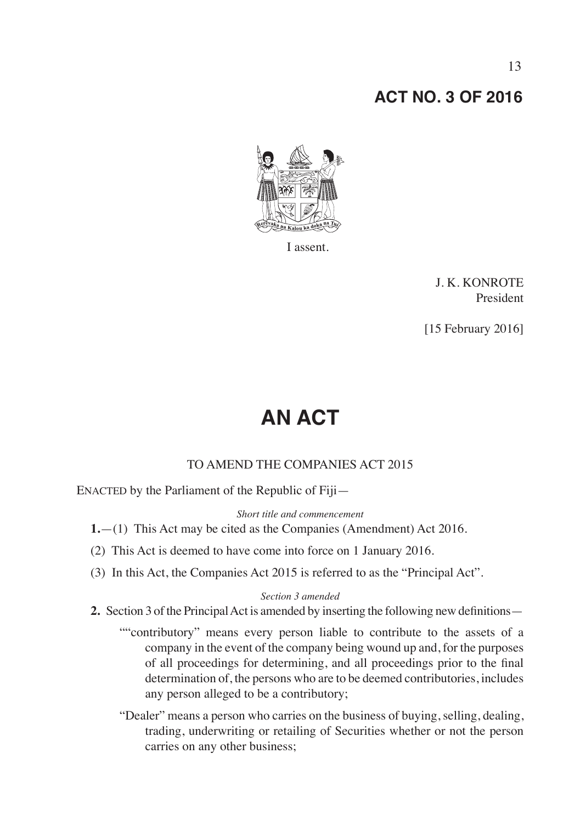# **ACT NO. 3 OF 2016**



I assent.

J. K. KONROTE President

[15 February 2016]

# **AN ACT**

## TO AMEND THE COMPANIES ACT 2015

ENACTED by the Parliament of the Republic of Fiji—

*Short title and commencement*

- **1.**—(1) This Act may be cited as the Companies (Amendment) Act 2016.
- (2) This Act is deemed to have come into force on 1 January 2016.
- (3) In this Act, the Companies Act 2015 is referred to as the "Principal Act".

## *Section 3 amended*

- **2.** Section 3 of the Principal Act is amended by inserting the following new definitions—
	- ""contributory" means every person liable to contribute to the assets of a company in the event of the company being wound up and, for the purposes of all proceedings for determining, and all proceedings prior to the final determination of, the persons who are to be deemed contributories, includes any person alleged to be a contributory;
	- "Dealer" means a person who carries on the business of buying, selling, dealing, trading, underwriting or retailing of Securities whether or not the person carries on any other business;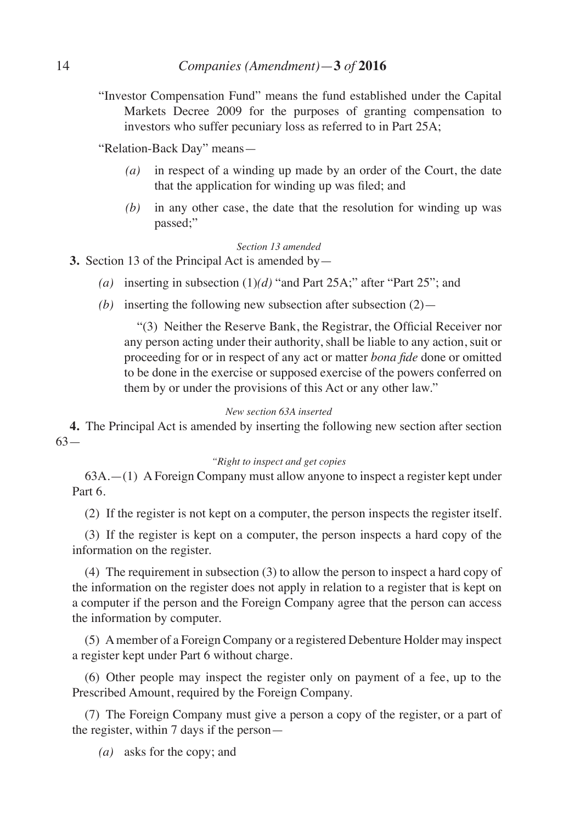"Investor Compensation Fund" means the fund established under the Capital Markets Decree 2009 for the purposes of granting compensation to investors who suffer pecuniary loss as referred to in Part 25A;

"Relation-Back Day" means—

- *(a)* in respect of a winding up made by an order of the Court, the date that the application for winding up was filed; and
- *(b)* in any other case, the date that the resolution for winding up was passed;"

## *Section 13 amended*

**3.** Section 13 of the Principal Act is amended by—

- *(a)* inserting in subsection (1)*(d)* "and Part 25A;" after "Part 25"; and
- *(b)* inserting the following new subsection after subsection  $(2)$ —

 "(3) Neither the Reserve Bank, the Registrar, the Official Receiver nor any person acting under their authority, shall be liable to any action, suit or proceeding for or in respect of any act or matter *bona fide* done or omitted to be done in the exercise or supposed exercise of the powers conferred on them by or under the provisions of this Act or any other law."

## *New section 63A inserted*

**4.** The Principal Act is amended by inserting the following new section after section 63—

## *"Right to inspect and get copies*

63A.—(1) A Foreign Company must allow anyone to inspect a register kept under Part 6.

(2) If the register is not kept on a computer, the person inspects the register itself.

(3) If the register is kept on a computer, the person inspects a hard copy of the information on the register.

(4) The requirement in subsection (3) to allow the person to inspect a hard copy of the information on the register does not apply in relation to a register that is kept on a computer if the person and the Foreign Company agree that the person can access the information by computer.

(5) A member of a Foreign Company or a registered Debenture Holder may inspect a register kept under Part 6 without charge.

(6) Other people may inspect the register only on payment of a fee, up to the Prescribed Amount, required by the Foreign Company.

(7) The Foreign Company must give a person a copy of the register, or a part of the register, within 7 days if the person—

*(a)* asks for the copy; and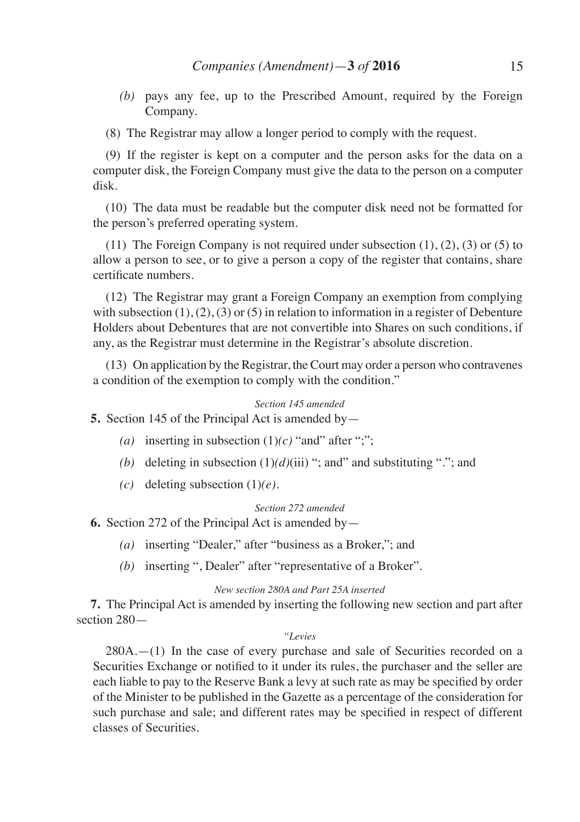*(b)* pays any fee, up to the Prescribed Amount, required by the Foreign Company.

(8) The Registrar may allow a longer period to comply with the request.

(9) If the register is kept on a computer and the person asks for the data on a computer disk, the Foreign Company must give the data to the person on a computer disk.

(10) The data must be readable but the computer disk need not be formatted for the person's preferred operating system.

(11) The Foreign Company is not required under subsection  $(1)$ ,  $(2)$ ,  $(3)$  or  $(5)$  to allow a person to see, or to give a person a copy of the register that contains, share certificate numbers.

(12) The Registrar may grant a Foreign Company an exemption from complying with subsection  $(1)$ ,  $(2)$ ,  $(3)$  or  $(5)$  in relation to information in a register of Debenture Holders about Debentures that are not convertible into Shares on such conditions, if any, as the Registrar must determine in the Registrar's absolute discretion.

(13) On application by the Registrar, the Court may order a person who contravenes a condition of the exemption to comply with the condition."

## *Section 145 amended*

**5.** Section 145 of the Principal Act is amended by—

- (a) inserting in subsection  $(1)(c)$  "and" after ";";
- *(b)* deleting in subsection (1)*(d)*(iii) "; and" and substituting "."; and
- *(c)* deleting subsection (1)*(e)*.

## *Section 272 amended*

**6.** Section 272 of the Principal Act is amended by—

- *(a)* inserting "Dealer," after "business as a Broker,"; and
- *(b)* inserting ", Dealer" after "representative of a Broker".

## *New section 280A and Part 25A inserted*

**7.** The Principal Act is amended by inserting the following new section and part after section 280—

#### *"Levies*

 $280A$ . $-(1)$  In the case of every purchase and sale of Securities recorded on a Securities Exchange or notified to it under its rules, the purchaser and the seller are each liable to pay to the Reserve Bank a levy at such rate as may be specified by order of the Minister to be published in the Gazette as a percentage of the consideration for such purchase and sale; and different rates may be specified in respect of different classes of Securities.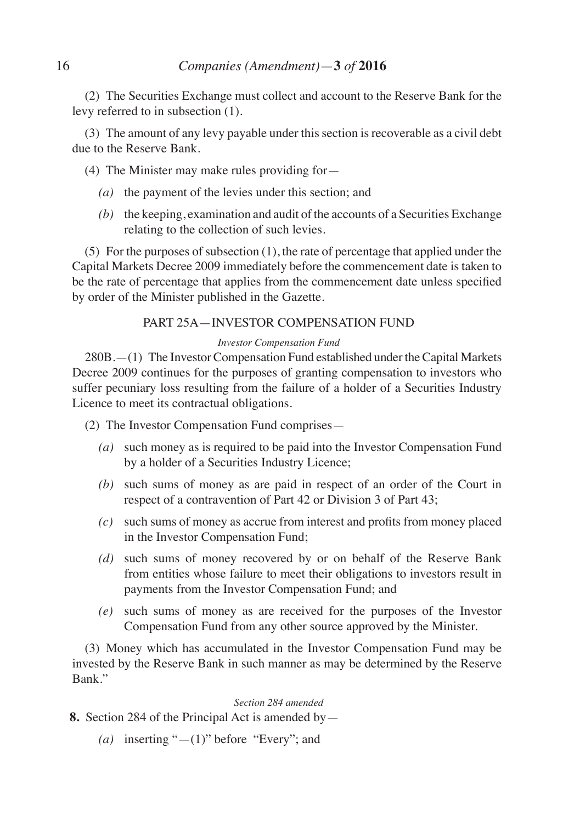(2) The Securities Exchange must collect and account to the Reserve Bank for the levy referred to in subsection (1).

(3) The amount of any levy payable under this section is recoverable as a civil debt due to the Reserve Bank.

(4) The Minister may make rules providing for—

- *(a)* the payment of the levies under this section; and
- *(b)* the keeping, examination and audit of the accounts of a Securities Exchange relating to the collection of such levies.

(5) For the purposes of subsection (1), the rate of percentage that applied under the Capital Markets Decree 2009 immediately before the commencement date is taken to be the rate of percentage that applies from the commencement date unless specified by order of the Minister published in the Gazette.

# PART 25A—INVESTOR COMPENSATION FUND

# *Investor Compensation Fund*

280B.—(1) The Investor Compensation Fund established under the Capital Markets Decree 2009 continues for the purposes of granting compensation to investors who suffer pecuniary loss resulting from the failure of a holder of a Securities Industry Licence to meet its contractual obligations.

(2) The Investor Compensation Fund comprises—

- *(a)* such money as is required to be paid into the Investor Compensation Fund by a holder of a Securities Industry Licence;
- *(b)* such sums of money as are paid in respect of an order of the Court in respect of a contravention of Part 42 or Division 3 of Part 43;
- *(c)* such sums of money as accrue from interest and profits from money placed in the Investor Compensation Fund;
- *(d)* such sums of money recovered by or on behalf of the Reserve Bank from entities whose failure to meet their obligations to investors result in payments from the Investor Compensation Fund; and
- *(e)* such sums of money as are received for the purposes of the Investor Compensation Fund from any other source approved by the Minister.

(3) Money which has accumulated in the Investor Compensation Fund may be invested by the Reserve Bank in such manner as may be determined by the Reserve Bank."

*Section 284 amended*

- **8.** Section 284 of the Principal Act is amended by—
	- *(a)* inserting "—(1)" before "Every"; and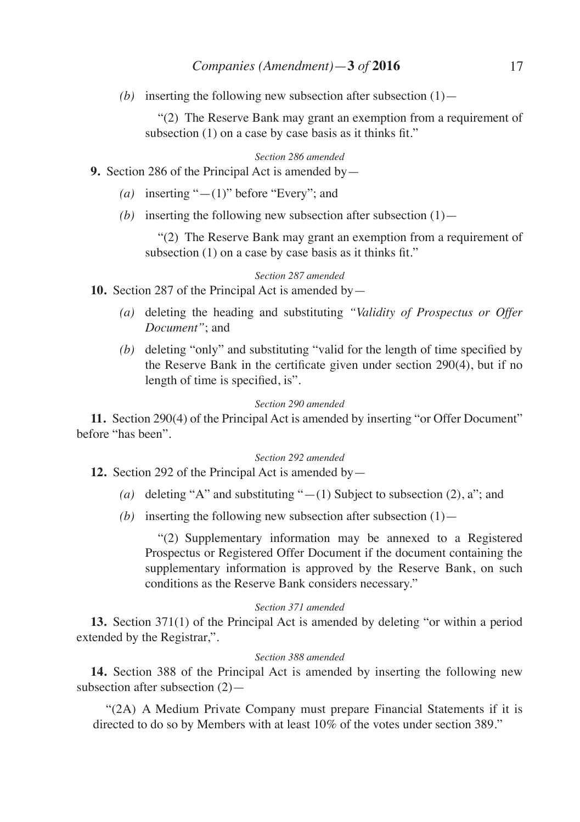*(b)* inserting the following new subsection after subsection  $(1)$ —

 "(2) The Reserve Bank may grant an exemption from a requirement of subsection (1) on a case by case basis as it thinks fit."

*Section 286 amended*

**9.** Section 286 of the Principal Act is amended by—

- *(a)* inserting "—(1)" before "Every"; and
- *(b)* inserting the following new subsection after subsection  $(1)$ —

 "(2) The Reserve Bank may grant an exemption from a requirement of subsection (1) on a case by case basis as it thinks fit."

## *Section 287 amended*

**10.** Section 287 of the Principal Act is amended by—

- *(a)* deleting the heading and substituting *"Validity of Prospectus or Offer Document"*; and
- *(b)* deleting "only" and substituting "valid for the length of time specified by the Reserve Bank in the certificate given under section 290(4), but if no length of time is specified, is".

#### *Section 290 amended*

**11.** Section 290(4) of the Principal Act is amended by inserting "or Offer Document" before "has been".

## *Section 292 amended*

**12.** Section 292 of the Principal Act is amended by—

- *(a)* deleting "A" and substituting "—(1) Subject to subsection (2), a"; and
- *(b)* inserting the following new subsection after subsection  $(1)$ —

 "(2) Supplementary information may be annexed to a Registered Prospectus or Registered Offer Document if the document containing the supplementary information is approved by the Reserve Bank, on such conditions as the Reserve Bank considers necessary."

## *Section 371 amended*

**13.** Section 371(1) of the Principal Act is amended by deleting "or within a period extended by the Registrar,".

## *Section 388 amended*

**14.** Section 388 of the Principal Act is amended by inserting the following new subsection after subsection (2)—

"(2A) A Medium Private Company must prepare Financial Statements if it is directed to do so by Members with at least 10% of the votes under section 389."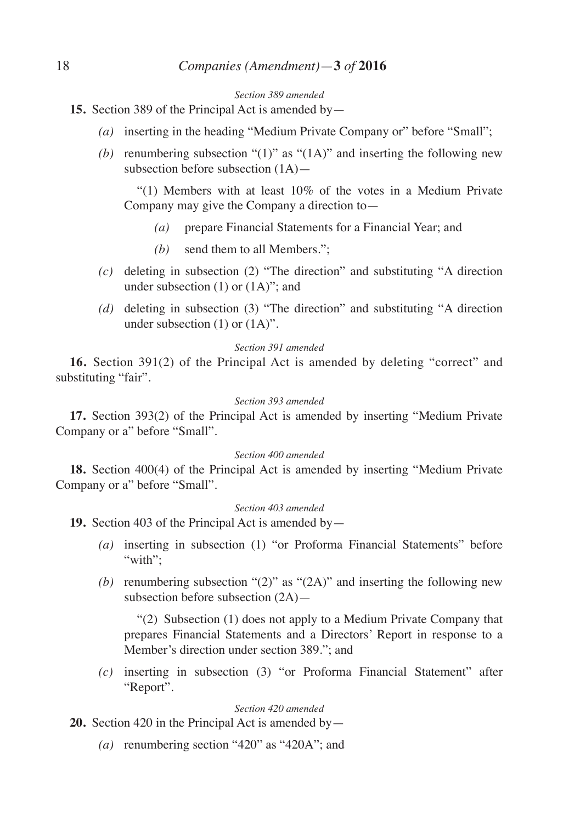#### *Section 389 amended*

- **15.** Section 389 of the Principal Act is amended by—
	- *(a)* inserting in the heading "Medium Private Company or" before "Small";
	- *(b)* renumbering subsection "(1)" as " $(1A)$ " and inserting the following new subsection before subsection (1A)—

 "(1) Members with at least 10% of the votes in a Medium Private Company may give the Company a direction to—

- *(a)* prepare Financial Statements for a Financial Year; and
- *(b)* send them to all Members.";
- *(c)* deleting in subsection (2) "The direction" and substituting "A direction under subsection (1) or (1A)"; and
- *(d)* deleting in subsection (3) "The direction" and substituting "A direction under subsection (1) or (1A)".

#### *Section 391 amended*

**16.** Section 391(2) of the Principal Act is amended by deleting "correct" and substituting "fair".

## *Section 393 amended*

**17.** Section 393(2) of the Principal Act is amended by inserting "Medium Private Company or a" before "Small".

## *Section 400 amended*

**18.** Section 400(4) of the Principal Act is amended by inserting "Medium Private Company or a" before "Small".

## *Section 403 amended*

**19.** Section 403 of the Principal Act is amended by—

- *(a)* inserting in subsection (1) "or Proforma Financial Statements" before "with":
- *(b)* renumbering subsection "(2)" as "(2A)" and inserting the following new subsection before subsection (2A)—

 "(2) Subsection (1) does not apply to a Medium Private Company that prepares Financial Statements and a Directors' Report in response to a Member's direction under section 389."; and

*(c)* inserting in subsection (3) "or Proforma Financial Statement" after "Report".

## *Section 420 amended*

**20.** Section 420 in the Principal Act is amended by—

*(a)* renumbering section "420" as "420A"; and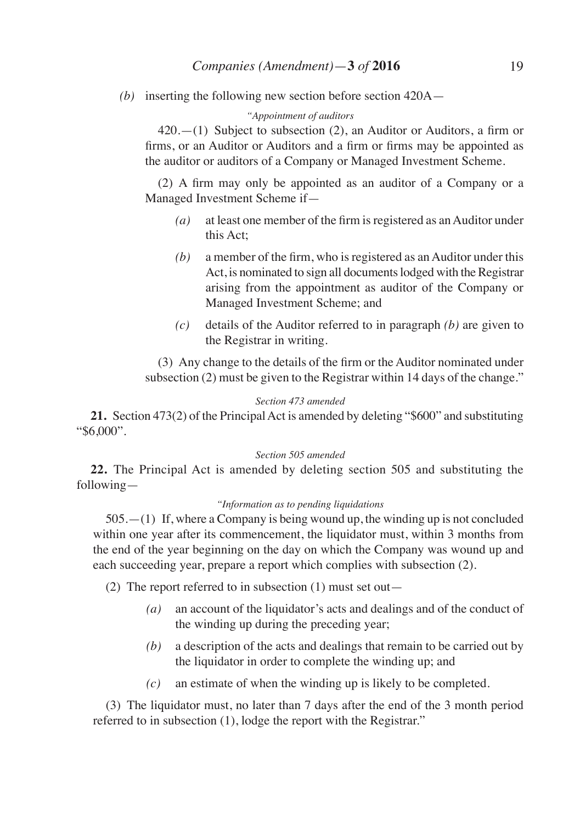*(b)* inserting the following new section before section 420A—

## *"Appointment of auditors*

 $420$ .—(1) Subject to subsection (2), an Auditor or Auditors, a firm or firms, or an Auditor or Auditors and a firm or firms may be appointed as the auditor or auditors of a Company or Managed Investment Scheme.

 (2) A firm may only be appointed as an auditor of a Company or a Managed Investment Scheme if—

- *(a)* at least one member of the firm is registered as an Auditor under this Act;
- *(b)* a member of the firm, who is registered as an Auditor under this Act, is nominated to sign all documents lodged with the Registrar arising from the appointment as auditor of the Company or Managed Investment Scheme; and
- *(c)* details of the Auditor referred to in paragraph *(b)* are given to the Registrar in writing.

 (3) Any change to the details of the firm or the Auditor nominated under subsection (2) must be given to the Registrar within 14 days of the change."

## *Section 473 amended*

**21.** Section 473(2) of the Principal Act is amended by deleting "\$600" and substituting "\$6,000".

## *Section 505 amended*

**22.** The Principal Act is amended by deleting section 505 and substituting the following—

## *"Information as to pending liquidations*

505.—(1) If, where a Company is being wound up, the winding up is not concluded within one year after its commencement, the liquidator must, within 3 months from the end of the year beginning on the day on which the Company was wound up and each succeeding year, prepare a report which complies with subsection (2).

(2) The report referred to in subsection (1) must set out—

- *(a)* an account of the liquidator's acts and dealings and of the conduct of the winding up during the preceding year;
- *(b)* a description of the acts and dealings that remain to be carried out by the liquidator in order to complete the winding up; and
- *(c)* an estimate of when the winding up is likely to be completed.

(3) The liquidator must, no later than 7 days after the end of the 3 month period referred to in subsection (1), lodge the report with the Registrar."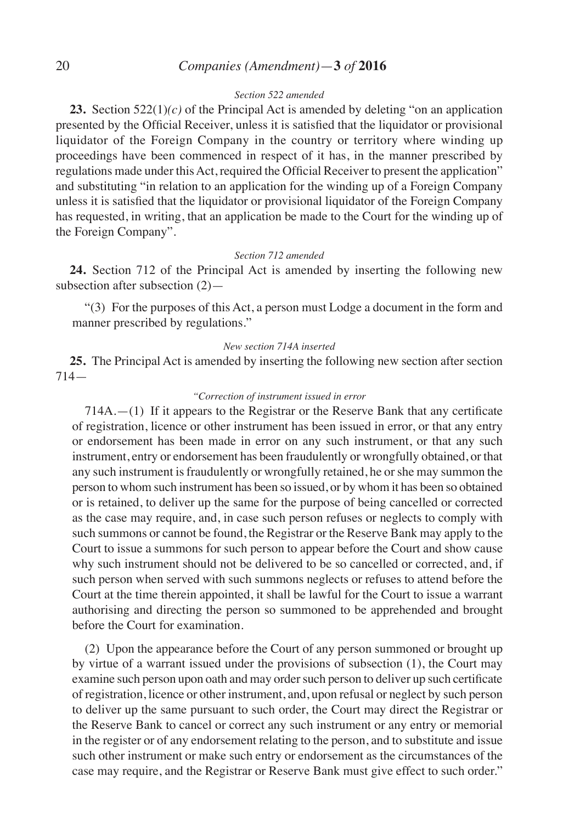# 20 *Companies (Amendment)*—**3** *of* **2016**

## *Section 522 amended*

**23.** Section 522(1)*(c)* of the Principal Act is amended by deleting "on an application presented by the Official Receiver, unless it is satisfied that the liquidator or provisional liquidator of the Foreign Company in the country or territory where winding up proceedings have been commenced in respect of it has, in the manner prescribed by regulations made under this Act, required the Official Receiver to present the application" and substituting "in relation to an application for the winding up of a Foreign Company unless it is satisfied that the liquidator or provisional liquidator of the Foreign Company has requested, in writing, that an application be made to the Court for the winding up of the Foreign Company".

#### *Section 712 amended*

**24.** Section 712 of the Principal Act is amended by inserting the following new subsection after subsection (2)—

"(3) For the purposes of this Act, a person must Lodge a document in the form and manner prescribed by regulations."

#### *New section 714A inserted*

**25.** The Principal Act is amended by inserting the following new section after section 714—

## *"Correction of instrument issued in error*

714A.—(1) If it appears to the Registrar or the Reserve Bank that any certificate of registration, licence or other instrument has been issued in error, or that any entry or endorsement has been made in error on any such instrument, or that any such instrument, entry or endorsement has been fraudulently or wrongfully obtained, or that any such instrument is fraudulently or wrongfully retained, he or she may summon the person to whom such instrument has been so issued, or by whom it has been so obtained or is retained, to deliver up the same for the purpose of being cancelled or corrected as the case may require, and, in case such person refuses or neglects to comply with such summons or cannot be found, the Registrar or the Reserve Bank may apply to the Court to issue a summons for such person to appear before the Court and show cause why such instrument should not be delivered to be so cancelled or corrected, and, if such person when served with such summons neglects or refuses to attend before the Court at the time therein appointed, it shall be lawful for the Court to issue a warrant authorising and directing the person so summoned to be apprehended and brought before the Court for examination.

(2) Upon the appearance before the Court of any person summoned or brought up by virtue of a warrant issued under the provisions of subsection (1), the Court may examine such person upon oath and may order such person to deliver up such certificate of registration, licence or other instrument, and, upon refusal or neglect by such person to deliver up the same pursuant to such order, the Court may direct the Registrar or the Reserve Bank to cancel or correct any such instrument or any entry or memorial in the register or of any endorsement relating to the person, and to substitute and issue such other instrument or make such entry or endorsement as the circumstances of the case may require, and the Registrar or Reserve Bank must give effect to such order."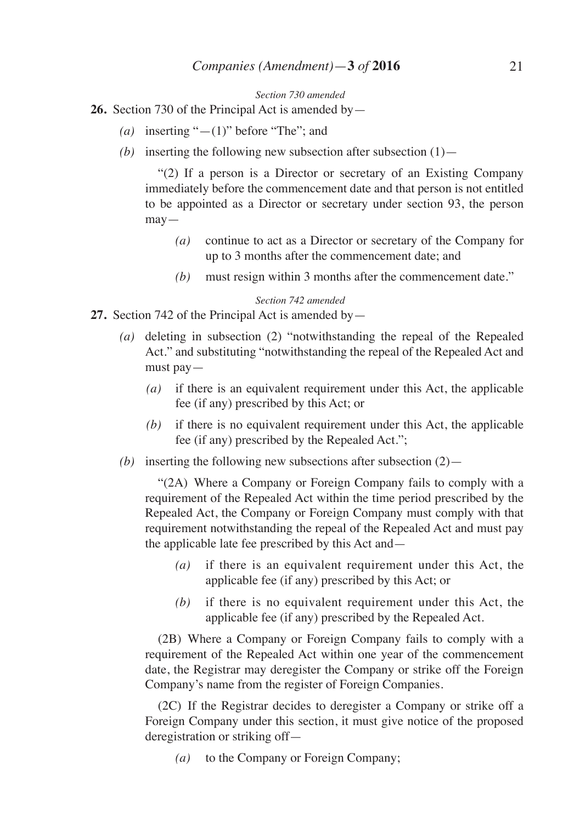*Section 730 amended*

**26.** Section 730 of the Principal Act is amended by—

- *(a)* inserting "—(1)" before "The"; and
- *(b)* inserting the following new subsection after subsection  $(1)$ —

 "(2) If a person is a Director or secretary of an Existing Company immediately before the commencement date and that person is not entitled to be appointed as a Director or secretary under section 93, the person may—

- *(a)* continue to act as a Director or secretary of the Company for up to 3 months after the commencement date; and
- *(b)* must resign within 3 months after the commencement date."

#### *Section 742 amended*

- **27.** Section 742 of the Principal Act is amended by—
	- *(a)* deleting in subsection (2) "notwithstanding the repeal of the Repealed Act." and substituting "notwithstanding the repeal of the Repealed Act and must pay—
		- *(a)* if there is an equivalent requirement under this Act, the applicable fee (if any) prescribed by this Act; or
		- *(b)* if there is no equivalent requirement under this Act, the applicable fee (if any) prescribed by the Repealed Act.";
	- *(b)* inserting the following new subsections after subsection  $(2)$ —

 "(2A) Where a Company or Foreign Company fails to comply with a requirement of the Repealed Act within the time period prescribed by the Repealed Act, the Company or Foreign Company must comply with that requirement notwithstanding the repeal of the Repealed Act and must pay the applicable late fee prescribed by this Act and—

- *(a)* if there is an equivalent requirement under this Act, the applicable fee (if any) prescribed by this Act; or
- *(b)* if there is no equivalent requirement under this Act, the applicable fee (if any) prescribed by the Repealed Act.

 (2B) Where a Company or Foreign Company fails to comply with a requirement of the Repealed Act within one year of the commencement date, the Registrar may deregister the Company or strike off the Foreign Company's name from the register of Foreign Companies.

 (2C) If the Registrar decides to deregister a Company or strike off a Foreign Company under this section, it must give notice of the proposed deregistration or striking off—

*(a)* to the Company or Foreign Company;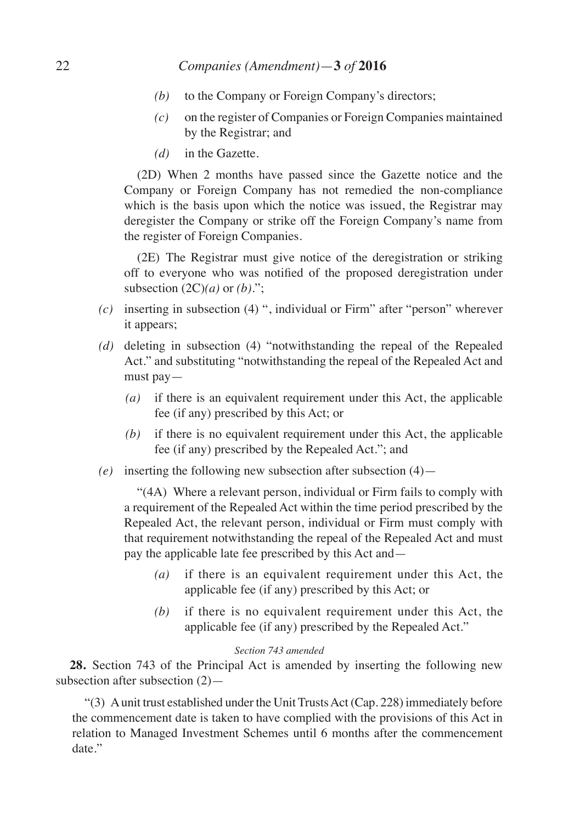# 22 *Companies (Amendment)*—**3** *of* **2016**

- *(b)* to the Company or Foreign Company's directors;
- *(c)* on the register of Companies or Foreign Companies maintained by the Registrar; and
- *(d)* in the Gazette.

 (2D) When 2 months have passed since the Gazette notice and the Company or Foreign Company has not remedied the non-compliance which is the basis upon which the notice was issued, the Registrar may deregister the Company or strike off the Foreign Company's name from the register of Foreign Companies.

 (2E) The Registrar must give notice of the deregistration or striking off to everyone who was notified of the proposed deregistration under subsection  $(2C)(a)$  or  $(b)$ .";

- *(c)* inserting in subsection (4) ", individual or Firm" after "person" wherever it appears;
- *(d)* deleting in subsection (4) "notwithstanding the repeal of the Repealed Act." and substituting "notwithstanding the repeal of the Repealed Act and must pay—
	- *(a)* if there is an equivalent requirement under this Act, the applicable fee (if any) prescribed by this Act; or
	- *(b)* if there is no equivalent requirement under this Act, the applicable fee (if any) prescribed by the Repealed Act."; and
- *(e)* inserting the following new subsection after subsection (4)—

 "(4A) Where a relevant person, individual or Firm fails to comply with a requirement of the Repealed Act within the time period prescribed by the Repealed Act, the relevant person, individual or Firm must comply with that requirement notwithstanding the repeal of the Repealed Act and must pay the applicable late fee prescribed by this Act and—

- *(a)* if there is an equivalent requirement under this Act, the applicable fee (if any) prescribed by this Act; or
- *(b)* if there is no equivalent requirement under this Act, the applicable fee (if any) prescribed by the Repealed Act."

## *Section 743 amended*

**28.** Section 743 of the Principal Act is amended by inserting the following new subsection after subsection (2)—

"(3) A unit trust established under the Unit Trusts Act (Cap. 228) immediately before the commencement date is taken to have complied with the provisions of this Act in relation to Managed Investment Schemes until 6 months after the commencement date."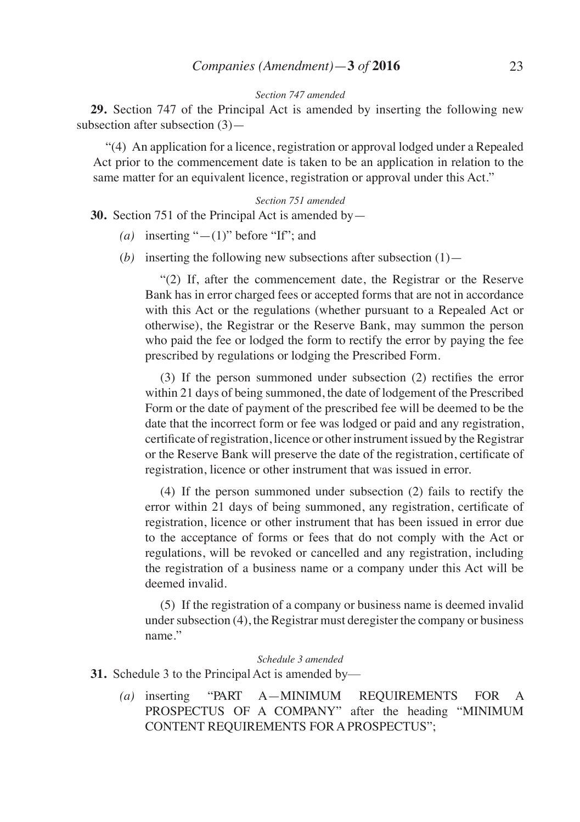# *Companies (Amendment)*—**3** *of* **2016** 23

#### *Section 747 amended*

**29.** Section 747 of the Principal Act is amended by inserting the following new subsection after subsection (3)—

"(4) An application for a licence, registration or approval lodged under a Repealed Act prior to the commencement date is taken to be an application in relation to the same matter for an equivalent licence, registration or approval under this Act."

#### *Section 751 amended*

**30.** Section 751 of the Principal Act is amended by—

- *(a)* inserting "—(1)" before "If"; and
- (*b*) inserting the following new subsections after subsection  $(1)$ —

 "(2) If, after the commencement date, the Registrar or the Reserve Bank has in error charged fees or accepted forms that are not in accordance with this Act or the regulations (whether pursuant to a Repealed Act or otherwise), the Registrar or the Reserve Bank, may summon the person who paid the fee or lodged the form to rectify the error by paying the fee prescribed by regulations or lodging the Prescribed Form.

(3) If the person summoned under subsection (2) rectifies the error within 21 days of being summoned, the date of lodgement of the Prescribed Form or the date of payment of the prescribed fee will be deemed to be the date that the incorrect form or fee was lodged or paid and any registration, certificate of registration, licence or other instrument issued by the Registrar or the Reserve Bank will preserve the date of the registration, certificate of registration, licence or other instrument that was issued in error.

 (4) If the person summoned under subsection (2) fails to rectify the error within 21 days of being summoned, any registration, certificate of registration, licence or other instrument that has been issued in error due to the acceptance of forms or fees that do not comply with the Act or regulations, will be revoked or cancelled and any registration, including the registration of a business name or a company under this Act will be deemed invalid.

 (5) If the registration of a company or business name is deemed invalid under subsection (4), the Registrar must deregister the company or business name."

#### *Schedule 3 amended*

**31.** Schedule 3 to the Principal Act is amended by—

*(a)* inserting "PART A—MINIMUM REQUIREMENTS FOR A PROSPECTUS OF A COMPANY" after the heading "MINIMUM CONTENT REQUIREMENTS FOR A PROSPECTUS";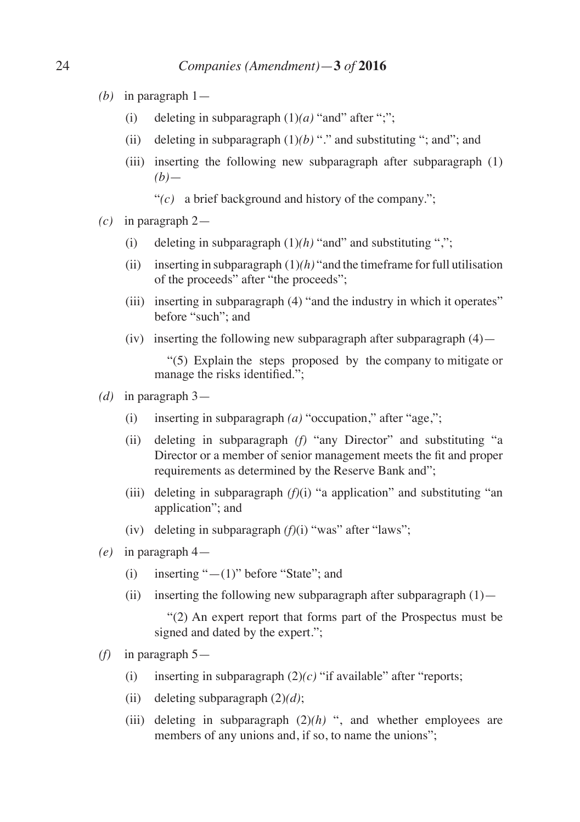- *(b)* in paragraph 1—
	- (i) deleting in subparagraph  $(1)(a)$  "and" after ";";
	- (ii) deleting in subparagraph  $(1)(b)$  "." and substituting "; and"; and
	- (iii) inserting the following new subparagraph after subparagraph (1)  $(b)$ —
		- "*(c)* a brief background and history of the company.";
- *(c)* in paragraph 2—
	- (i) deleting in subparagraph  $(1)(h)$  "and" and substituting ",";
	- (ii) inserting in subparagraph  $(1)(h)$  "and the timeframe for full utilisation of the proceeds" after "the proceeds";
	- (iii) inserting in subparagraph (4) "and the industry in which it operates" before "such"; and
	- (iv) inserting the following new subparagraph after subparagraph  $(4)$ —

 "(5) Explain the steps proposed by the company to mitigate or manage the risks identified.";

- *(d)* in paragraph 3—
	- (i) inserting in subparagraph *(a)* "occupation," after "age,";
	- (ii) deleting in subparagraph *(f)* "any Director" and substituting "a Director or a member of senior management meets the fit and proper requirements as determined by the Reserve Bank and";
	- (iii) deleting in subparagraph *(f)*(i) "a application" and substituting "an application"; and
	- (iv) deleting in subparagraph *(f)*(i) "was" after "laws";
- *(e)* in paragraph 4—
	- (i) inserting " $-(1)$ " before "State"; and
	- (ii) inserting the following new subparagraph after subparagraph  $(1)$ —

 "(2) An expert report that forms part of the Prospectus must be signed and dated by the expert.";

- *(f)* in paragraph 5—
	- (i) inserting in subparagraph  $(2)(c)$  "if available" after "reports;
	- (ii) deleting subparagraph (2)*(d)*;
	- (iii) deleting in subparagraph  $(2)(h)$  ", and whether employees are members of any unions and, if so, to name the unions";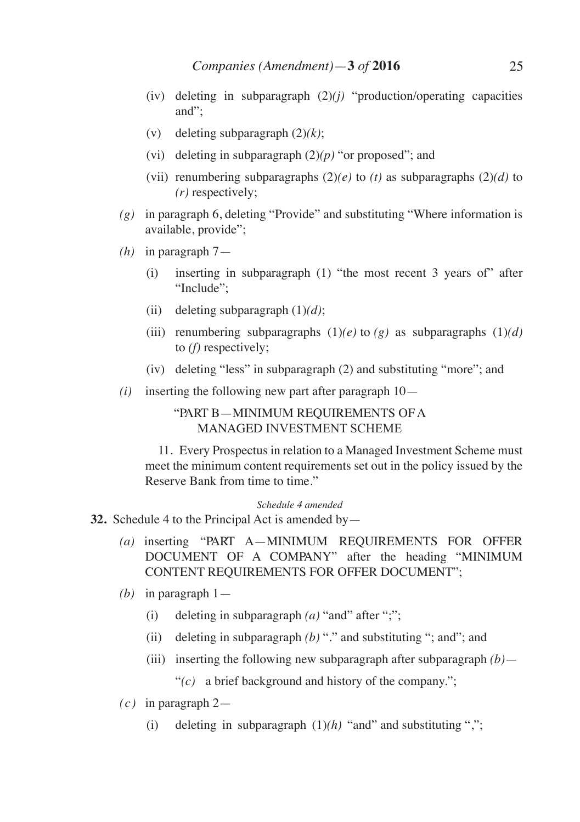- (iv) deleting in subparagraph  $(2)(i)$  "production/operating capacities" and";
- (v) deleting subparagraph (2)*(k)*;
- (vi) deleting in subparagraph (2)*(p)* "or proposed"; and
- (vii) renumbering subparagraphs  $(2)(e)$  to  $(t)$  as subparagraphs  $(2)(d)$  to *(r)* respectively;
- *(g)* in paragraph 6, deleting "Provide" and substituting "Where information is available, provide";
- *(h)* in paragraph 7—
	- (i) inserting in subparagraph (1) "the most recent 3 years of" after "Include";
	- (ii) deleting subparagraph (1)*(d)*;
	- (iii) renumbering subparagraphs  $(1)(e)$  to  $(g)$  as subparagraphs  $(1)(d)$ to *(f)* respectively;
	- (iv) deleting "less" in subparagraph (2) and substituting "more"; and
- *(i)* inserting the following new part after paragraph 10—

# "PART B—MINIMUM REQUIREMENTS OF A MANAGED INVESTMENT SCHEME

 11. Every Prospectus in relation to a Managed Investment Scheme must meet the minimum content requirements set out in the policy issued by the Reserve Bank from time to time."

### *Schedule 4 amended*

- **32.** Schedule 4 to the Principal Act is amended by—
	- *(a)* inserting "PART A—MINIMUM REQUIREMENTS FOR OFFER DOCUMENT OF A COMPANY" after the heading "MINIMUM CONTENT REQUIREMENTS FOR OFFER DOCUMENT";
	- *(b)* in paragraph 1—
		- (i) deleting in subparagraph *(a)* "and" after ";";
		- (ii) deleting in subparagraph *(b)* "." and substituting "; and"; and
		- (iii) inserting the following new subparagraph after subparagraph *(b)*—

"*(c)* a brief background and history of the company.";

- *(c)* in paragraph 2—
	- (i) deleting in subparagraph  $(1)(h)$  "and" and substituting ",";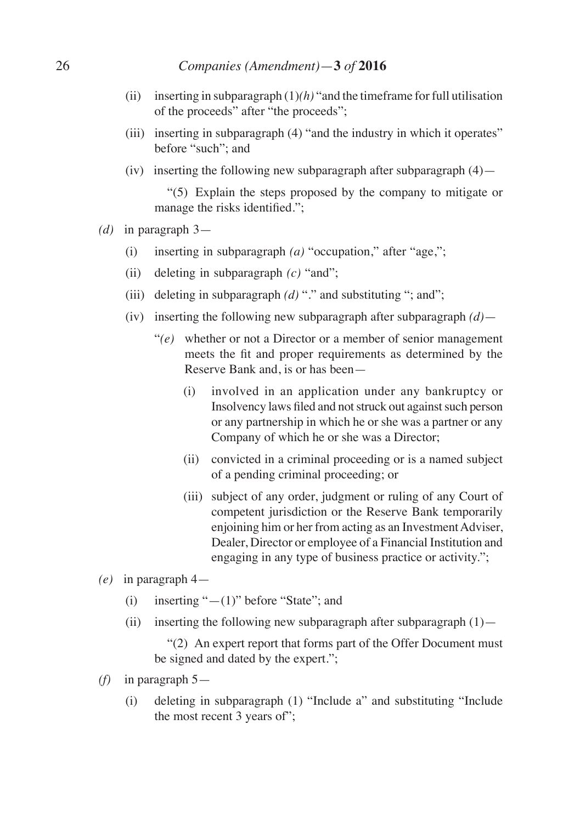# 26 *Companies (Amendment)*—**3** *of* **2016**

- (ii) inserting in subparagraph  $(1)(h)$  "and the timeframe for full utilisation of the proceeds" after "the proceeds";
- (iii) inserting in subparagraph (4) "and the industry in which it operates" before "such"; and
- (iv) inserting the following new subparagraph after subparagraph  $(4)$ —

 "(5) Explain the steps proposed by the company to mitigate or manage the risks identified.":

- *(d)* in paragraph 3—
	- (i) inserting in subparagraph *(a)* "occupation," after "age,";
	- (ii) deleting in subparagraph *(c)* "and";
	- (iii) deleting in subparagraph *(d)* "." and substituting "; and";
	- (iv) inserting the following new subparagraph after subparagraph *(d)*
		- "*(e)* whether or not a Director or a member of senior management meets the fit and proper requirements as determined by the Reserve Bank and, is or has been—
			- (i) involved in an application under any bankruptcy or Insolvency laws filed and not struck out against such person or any partnership in which he or she was a partner or any Company of which he or she was a Director;
			- (ii) convicted in a criminal proceeding or is a named subject of a pending criminal proceeding; or
			- (iii) subject of any order, judgment or ruling of any Court of competent jurisdiction or the Reserve Bank temporarily enjoining him or her from acting as an Investment Adviser, Dealer, Director or employee of a Financial Institution and engaging in any type of business practice or activity.";
- *(e)* in paragraph 4—
	- (i) inserting " $-(1)$ " before "State"; and
	- (ii) inserting the following new subparagraph after subparagraph  $(1)$ —

 "(2) An expert report that forms part of the Offer Document must be signed and dated by the expert.";

- *(f)* in paragraph 5—
	- (i) deleting in subparagraph (1) "Include a" and substituting "Include the most recent 3 years of";